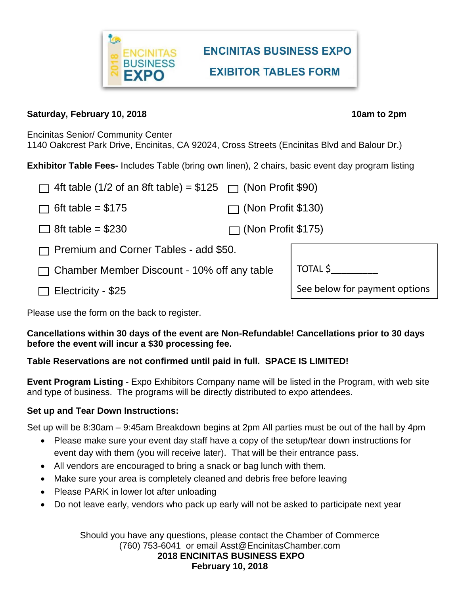

# **ENCINITAS BUSINESS EXPO EXIBITOR TABLES FORM**

#### **Saturday, February 10, 2018 10am is a set of the set of the set of the set of the set of the set of the set of the set of the set of the set of the set of the set of the set of the set of the set of the set of the set o**

Encinitas Senior/ Community Center 1140 Oakcrest Park Drive, Encinitas, CA 92024, Cross Streets (Encinitas Blvd and Balour Dr.)

**Exhibitor Table Fees-** Includes Table (bring own linen), 2 chairs, basic event day program listing

| $\Box$ 4ft table (1/2 of an 8ft table) = \$125 $\Box$ (Non Profit \$90) |                           |                               |  |  |
|-------------------------------------------------------------------------|---------------------------|-------------------------------|--|--|
| 6ft table = $$175$                                                      | $\Box$ (Non Profit \$130) |                               |  |  |
| $\Box$ 8ft table = \$230                                                | $\Box$ (Non Profit \$175) |                               |  |  |
| $\Box$ Premium and Corner Tables - add \$50.                            |                           |                               |  |  |
| $\Box$ Chamber Member Discount - 10% off any table                      |                           | TOTAL \$                      |  |  |
| Electricity - \$25                                                      |                           | See below for payment options |  |  |

Please use the form on the back to register.

#### **Cancellations within 30 days of the event are Non-Refundable! Cancellations prior to 30 days before the event will incur a \$30 processing fee.**

## **Table Reservations are not confirmed until paid in full. SPACE IS LIMITED!**

**Event Program Listing** - Expo Exhibitors Company name will be listed in the Program, with web site and type of business. The programs will be directly distributed to expo attendees.

## **Set up and Tear Down Instructions:**

Set up will be 8:30am – 9:45am Breakdown begins at 2pm All parties must be out of the hall by 4pm

- Please make sure your event day staff have a copy of the setup/tear down instructions for event day with them (you will receive later). That will be their entrance pass.
- All vendors are encouraged to bring a snack or bag lunch with them.
- Make sure your area is completely cleaned and debris free before leaving
- Please PARK in lower lot after unloading
- Do not leave early, vendors who pack up early will not be asked to participate next year

Should you have any questions, please contact the Chamber of Commerce (760) 753-6041 or email Asst@EncinitasChamber.com **2018 ENCINITAS BUSINESS EXPO February 10, 2018**